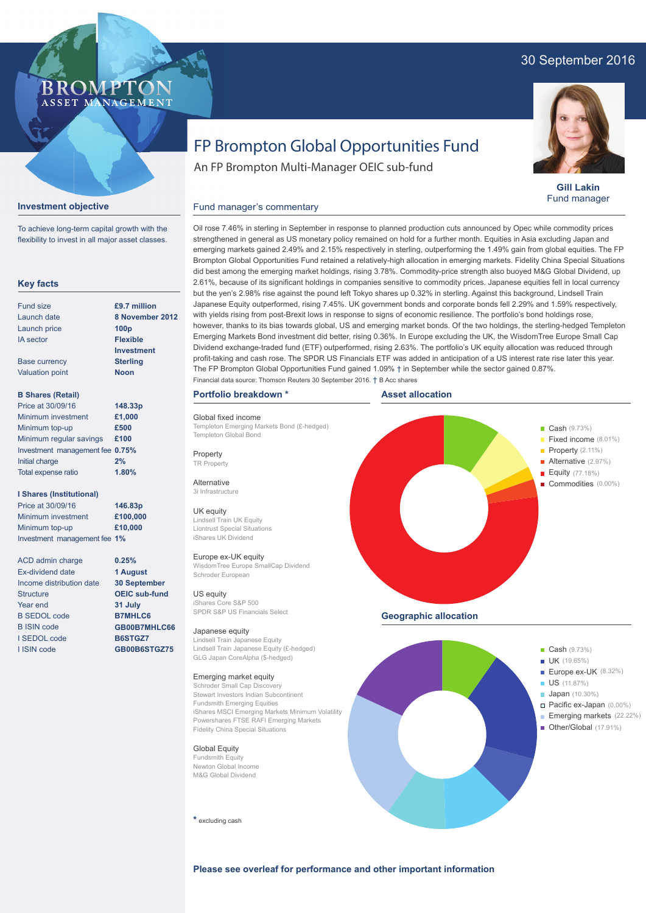# 30 September 2016



**Gill Lakin** Fund manager

# FP Brompton Global Opportunities Fund

Oil rose 7.46% in sterling in September in response to planned production cuts announced by Opec while commodity prices strengthened in general as US monetary policy remained on hold for a further month. Equities in Asia excluding Japan and emerging markets gained 2.49% and 2.15% respectively in sterling, outperforming the 1.49% gain from global equities. The FP Brompton Global Opportunities Fund retained a relatively-high allocation in emerging markets. Fidelity China Special Situations did best among the emerging market holdings, rising 3.78%. Commodity-price strength also buoyed M&G Global Dividend, up 2.61%, because of its significant holdings in companies sensitive to commodity prices. Japanese equities fell in local currency but the yen's 2.98% rise against the pound left Tokyo shares up 0.32% in sterling. Against this background, Lindsell Train Japanese Equity outperformed, rising 7.45%. UK government bonds and corporate bonds fell 2.29% and 1.59% respectively, with yields rising from post-Brexit lows in response to signs of economic resilience. The portfolio's bond holdings rose, however, thanks to its bias towards global, US and emerging market bonds. Of the two holdings, the sterling-hedged Templeton Emerging Markets Bond investment did better, rising 0.36%. In Europe excluding the UK, the WisdomTree Europe Small Cap Dividend exchange-traded fund (ETF) outperformed, rising 2.63%. The portfolio's UK equity allocation was reduced through

An FP Brompton Multi-Manager OEIC sub-fund

# **Investment objective**

To achieve long-term capital growth with the flexibility to invest in all major asset classes.

**BROMP** 

ASSET MANAGEMENT

# **Key facts**

| <b>Fund size</b>       | £9.7 million      |
|------------------------|-------------------|
| Launch date            | 8 November 2012   |
| Launch price           | 100 <sub>p</sub>  |
| <b>IA</b> sector       | <b>Flexible</b>   |
|                        | <b>Investment</b> |
| <b>Base currency</b>   | <b>Sterling</b>   |
| <b>Valuation point</b> | <b>Noon</b>       |
|                        |                   |
|                        |                   |

| <b>B Shares (Retail)</b>        |         |
|---------------------------------|---------|
| Price at 30/09/16               | 148.33p |
| Minimum investment              | £1,000  |
| Minimum top-up                  | £500    |
| Minimum regular savings         | £100    |
| Investment management fee 0.75% |         |
| Initial charge                  | 2%      |
| Total expense ratio             | 1.80%   |

# **I Shares (Institutional)**

Minimum investment Minimum top-up Investment management fee **1% £100,000 £10,000 146.83p** Price at 30/09/16

ACD admin charge Ex-dividend date Income distribution date **30 September** Structure Year end B SEDOL code B ISIN code I SEDOL code I ISIN code

**0.25% 1 August**

**OEIC sub-fund 31 July B7MHLC6 GB00B7MHLC66 B6STGZ7 GB00B6STGZ75**

#### **Portfolio breakdown \***

Global fixed income Templeton Emerging Markets Bond (£-hedged) Templeton Global Bond

Fund manager's commentary

**Property** TR Property

Alternative 3i Infrastructure

### UK equity

Lindsell Train UK Equity Liontrust Special Situations iShares UK Dividend

#### Europe ex-UK equity

WisdomTree Europe SmallCap Dividend Schroder European

US equity iShares Core S&P 500 SPDR S&P US Financials Select

#### Japanese equity

Lindsell Train Japanese Equity Lindsell Train Japanese Equity (£-hedged) GLG Japan CoreAlpha (\$-hedged)

### Emerging market equity

Schroder Small Cap Discovery Stewart Investors Indian Subcontinent Fundsmith Emerging Equities iShares MSCI Emerging Markets Minimum Volatility Powershares FTSE RAFI Emerging Markets Fidelity China Special Situations

Global Equity

Fundsmith Equity Newton Global Income M&G Global Dividend

**\*** excluding cash



**Geographic allocation**



**Please see overleaf for performance and other important information**